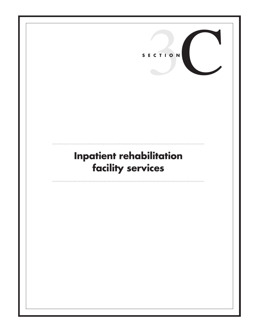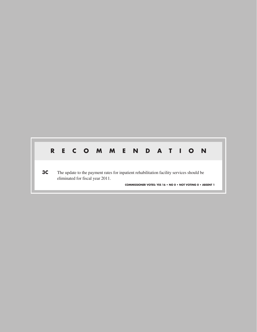# **R E C O M M E N D A T I O N**

**3C** The update to the payment rates for inpatient rehabilitation facility services should be eliminated for fiscal year 2011.

**COMMISSIONER VOTES: YES 16 • NO 0 • NOT VOTING 0 • ABSENT 1**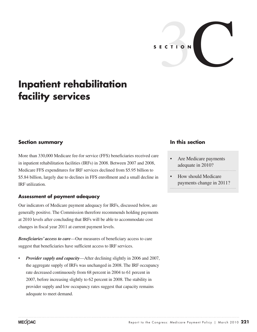

# **Inpatient rehabilitation facility services**

## **Section summary**

More than 330,000 Medicare fee-for service (FFS) beneficiaries received care in inpatient rehabilitation facilities (IRFs) in 2008. Between 2007 and 2008, Medicare FFS expenditures for IRF services declined from \$5.95 billion to \$5.84 billion, largely due to declines in FFS enrollment and a small decline in IRF utilization.

### **Assessment of payment adequacy**

Our indicators of Medicare payment adequacy for IRFs, discussed below, are generally positive. The Commission therefore recommends holding payments at 2010 levels after concluding that IRFs will be able to accommodate cost changes in fiscal year 2011 at current payment levels.

*Beneficiaries' access to care*—Our measures of beneficiary access to care suggest that beneficiaries have sufficient access to IRF services.

• *Provider supply and capacity*—After declining slightly in 2006 and 2007, the aggregate supply of IRFs was unchanged in 2008. The IRF occupancy rate decreased continuously from 68 percent in 2004 to 61 percent in 2007, before increasing slightly to 62 percent in 2008. The stability in provider supply and low occupancy rates suggest that capacity remains adequate to meet demand.

## **In this section**

- Are Medicare payments adequate in 2010?
- How should Medicare payments change in 2011?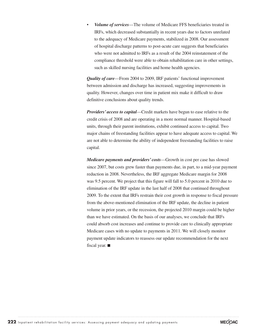• *Volume of services*—The volume of Medicare FFS beneficiaries treated in IRFs, which decreased substantially in recent years due to factors unrelated to the adequacy of Medicare payments, stabilized in 2008. Our assessment of hospital discharge patterns to post-acute care suggests that beneficiaries who were not admitted to IRFs as a result of the 2004 reinstatement of the compliance threshold were able to obtain rehabilitation care in other settings, such as skilled nursing facilities and home health agencies.

*Quality of care*—From 2004 to 2009, IRF patients' functional improvement between admission and discharge has increased, suggesting improvements in quality. However, changes over time in patient mix make it difficult to draw definitive conclusions about quality trends.

*Providers' access to capital*—Credit markets have begun to ease relative to the credit crisis of 2008 and are operating in a more normal manner. Hospital-based units, through their parent institutions, exhibit continued access to capital. Two major chains of freestanding facilities appear to have adequate access to capital. We are not able to determine the ability of independent freestanding facilities to raise capital.

*Medicare payments and providers' costs*—Growth in cost per case has slowed since 2007, but costs grew faster than payments due, in part, to a mid-year payment reduction in 2008. Nevertheless, the IRF aggregate Medicare margin for 2008 was 9.5 percent. We project that this figure will fall to 5.0 percent in 2010 due to elimination of the IRF update in the last half of 2008 that continued throughout 2009. To the extent that IRFs restrain their cost growth in response to fiscal pressure from the above-mentioned elimination of the IRF update, the decline in patient volume in prior years, or the recession, the projected 2010 margin could be higher than we have estimated. On the basis of our analyses, we conclude that IRFs could absorb cost increases and continue to provide care to clinically appropriate Medicare cases with no update to payments in 2011. We will closely monitor payment update indicators to reassess our update recommendation for the next fiscal year. ■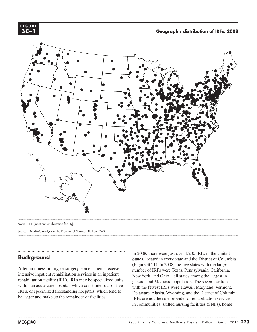

**Geographic distribution of IRFs, 2008 Geographic distribution of IRFs, 2008 FIGURE**



Note: IRF (inpatient rehabilitation facility).

Source: MedPAC analysis of the Provider of Services file from CMS.

## **Background**

After an illness, injury, or surgery, some patients receive intensive inpatient rehabilitation services in an inpatient rehabilitation facility (IRF). IRFs may be specialized units within an acute care hospital, which constitute four of five IRFs, or specialized freestanding hospitals, which tend to be larger and make up the remainder of facilities.

In 2008, there were just over 1,200 IRFs in the United States, located in every state and the District of Columbia (Figure 3C-1). In 2008, the five states with the largest number of IRFs were Texas, Pennsylvania, California, New York, and Ohio—all states among the largest in general and Medicare population. The seven locations with the fewest IRFs were Hawaii, Maryland, Vermont, Delaware, Alaska, Wyoming, and the District of Columbia. IRFs are not the sole provider of rehabilitation services in communities; skilled nursing facilities (SNFs), home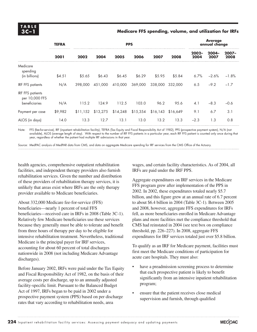#### **3C –1 Medicare FFS spending, volume, and utilization for IRFs**

|                                                            | <b>TEFRA</b> |          |          |          | <b>PPS</b> |                     |         | <b>Average</b><br>annual change |                  |               |  |
|------------------------------------------------------------|--------------|----------|----------|----------|------------|---------------------|---------|---------------------------------|------------------|---------------|--|
|                                                            | 2001         | 2002     | 2004     | 2005     | 2006       | 2007                | 2008    | $2002 -$<br>2004                | $2004 -$<br>2007 | 2007-<br>2008 |  |
| Medicare<br>spending<br>(in billions)                      | \$4.51       | \$5.65   | \$6.43   | \$6.45   | \$6.29     | \$5.95              | \$5.84  | 6.7%                            | $-2.6%$          | $-1.8%$       |  |
| <b>IRF FFS patients</b>                                    | N/A          | 398,000  | 451.000  | 410,000  | 369,000    | 338,000             | 332,000 | 6.5                             | $-9.2$           | $-1.7$        |  |
| <b>IRF FFS patients</b><br>per 10,000 FFS<br>beneficiaries | N/A          | 115.2    | 124.9    | 112.5    | 103.0      | 96.2                | 95.6    | 4.1                             | $-8.3$           | $-0.6$        |  |
| Payment per case                                           | \$9,982      | \$11,152 | \$13,275 | \$14,248 | \$15,354   | $$16,143$ $$16,649$ |         | 9.1                             | 6.7              | 3.1           |  |
| ALOS (in days)                                             | 14.0         | 13.3     | 12.7     | 13.1     | 13.0       | 13.2                | 13.3    | $-2.3$                          | 1.3              | 0.8           |  |

Note: FFS (fee-for-service), IRF (inpatient rehabilitation facility), TEFRA (Tax Equity and Fiscal Responsibility Act of 1982), PPS (prospective payment system), N/A (not available), ALOS (average length of stay). With respect to the number of IRF FFS patients in a particular year, each IRF FFS patient is counted only once during that year, regardless of whether the patient had multiple IRF admissions in that year.

Source: MedPAC analysis of MedPAR data from CMS, and data on aggregate Medicare spending for IRF services from the CMS Office of the Actuary.

health agencies, comprehensive outpatient rehabilitation facilities, and independent therapy providers also furnish rehabilitation services. Given the number and distribution of these providers of rehabilitation therapy services, it is unlikely that areas exist where IRFs are the only therapy provider available to Medicare beneficiaries.

About 332,000 Medicare fee-for-service (FFS) beneficiaries—nearly 1 percent of total FFS beneficiaries—received care in IRFs in 2008 (Table 3C-1). Relatively few Medicare beneficiaries use these services because they generally must be able to tolerate and benefit from three hours of therapy per day to be eligible for intensive rehabilitation treatment. Nevertheless, traditional Medicare is the principal payer for IRF services, accounting for about 60 percent of total discharges nationwide in 2008 (not including Medicare Advantage discharges).

Before January 2002, IRFs were paid under the Tax Equity and Fiscal Responsibility Act of 1982, on the basis of their average costs per discharge, up to an annually adjusted facility-specific limit. Pursuant to the Balanced Budget Act of 1997, IRFs began to be paid in 2002 under a prospective payment system (PPS) based on per discharge rates that vary according to rehabilitation needs, area

wages, and certain facility characteristics. As of 2004, all IRFs are paid under the IRF PPS.

Aggregate expenditures on IRF services in the Medicare FFS program grew after implementation of the PPS in 2002. In 2002, these expenditures totaled nearly \$5.7 billion, and this figure grew at an annual rate of 6.7 percent to about \$6.4 billion in 2004 (Table 3C-1). Between 2005 and 2008, however, aggregate FFS expenditures for IRFs fell, as more beneficiaries enrolled in Medicare Advantage plans and more facilities met the compliance threshold that CMS had reinstated in 2004 (see text box on compliance threshold, pp. 226–227). In 2008, aggregate FFS expenditures for IRF services totaled just over \$5.8 billion.

To qualify as an IRF for Medicare payment, facilities must first meet the Medicare conditions of participation for acute care hospitals. They must also:

- have a preadmission screening process to determine that each prospective patient is likely to benefit significantly from an intensive inpatient rehabilitation program;
- ensure that the patient receives close medical supervision and furnish, through qualified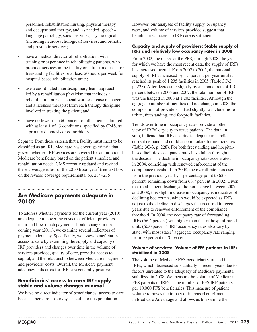personnel, rehabilitation nursing, physical therapy and occupational therapy, and, as needed, speech– language pathology, social services, psychological (including neuropsychological) services, and orthotic and prosthetic services;

- have a medical director of rehabilitation, with training or experience in rehabilitating patients, who provides services in the facility on a full-time basis for freestanding facilities or at least 20 hours per week for hospital-based rehabilitation units;
- use a coordinated interdisciplinary team approach led by a rehabilitation physician that includes a rehabilitation nurse, a social worker or case manager, and a licensed therapist from each therapy discipline involved in treating the patient; and
- have no fewer than 60 percent of all patients admitted with at least 1 of 13 conditions, specified by CMS, as a primary diagnosis or comorbidity.<sup>1</sup>

Separate from these criteria that a facility must meet to be classified as an IRF, Medicare has coverage criteria that govern whether IRF services are covered for an individual Medicare beneficiary based on the patient's medical and rehabilitation needs. CMS recently updated and revised these coverage rules for the 2010 fiscal year<sup>2</sup> (see text box on the revised coverage requirements, pp. 234–235).

## **Are Medicare payments adequate in 2010?**

To address whether payments for the current year (2010) are adequate to cover the costs that efficient providers incur and how much payments should change in the coming year (2011), we examine several indicators of payment adequacy. Specifically, we assess beneficiaries' access to care by examining the supply and capacity of IRF providers and changes over time in the volume of services provided, quality of care, provider access to capital, and the relationship between Medicare's payments and providers' costs. Overall, the Medicare payment adequacy indicators for IRFs are generally positive.

### **Beneficiaries' access to care: IRF supply stable and volume changes minimal**

We have no direct indicator of beneficiaries' access to care because there are no surveys specific to this population.

However, our analyses of facility supply, occupancy rates, and volume of services provided suggest that beneficiaries' access to IRF care is sufficient.

#### **Capacity and supply of providers: Stable supply of IRFs and relatively low occupancy rates in 2008**

From 2002, the outset of the PPS, through 2008, the year for which we have the most recent data, the supply of IRFs has increased overall. From 2002 to 2005, the national supply of IRFs increased by 1.5 percent per year until it reached its peak of 1,235 facilities in 2005 (Table 3C-2, p. 228). After decreasing slightly by an annual rate of 1.3 percent between 2005 and 2007, the total number of IRFs was unchanged in 2008 at 1,202 facilities. Although the aggregate number of facilities did not change in 2008, the composition of providers shifted slightly to include more urban, freestanding, and for-profit facilities.

Trends over time in occupancy rates provide another view of IRFs' capacity to serve patients. The data, in sum, indicate that IRF capacity is adequate to handle current demand and could accommodate future increases (Table 3C-3, p. 228). For both freestanding and hospitalbased facilities, occupancy rates have fallen throughout the decade. The decline in occupancy rates accelerated in 2004, coinciding with renewed enforcement of the compliance threshold. In 2008, the overall rate increased from the previous year by 1 percentage point to 62.3 percent, remaining down from 68.7 percent in 2002. Given that total patient discharges did not change between 2007 and 2008, this slight increase in occupancy is indicative of declining bed counts, which would be expected as IRFs adjust to the decline in discharges that occurred in recent years due to renewed enforcement of the compliance threshold. In 2008, the occupancy rate of freestanding IRFs (66.2 percent) was higher than that of hospital-based units (60.0 percent). IRF occupancy rates also vary by state, with most states' aggregate occupancy rate ranging from 50 percent to 70 percent.

#### **Volume of services: Volume of FFS patients in IRFs stabilized in 2008**

The volume of Medicare FFS beneficiaries treated in IRFs, which decreased substantially in recent years due to factors unrelated to the adequacy of Medicare payments, stabilized in 2008. We measure the volume of Medicare FFS patients in IRFs as the number of FFS IRF patients per 10,000 FFS beneficiaries. This measure of patient volume removes the impact of increased enrollment in Medicare Advantage and allows us to examine the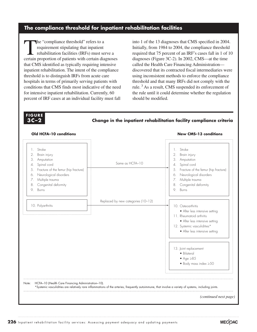### **The compliance threshold for inpatient rehabilitation facilities**

The "compliance threshold" refers to a<br>
requirement stipulating that inpatient<br>
rehabilitation facilities (IRFs) must serve a<br>
sertein gregorian of potients with extein discusses requirement stipulating that inpatient certain proportion of patients with certain diagnoses that CMS identified as typically requiring intensive inpatient rehabilitation. The intent of the compliance threshold is to distinguish IRFs from acute care hospitals in terms of primarily serving patients with conditions that CMS finds most indicative of the need for intensive inpatient rehabilitation. Currently, 60 percent of IRF cases at an individual facility must fall

into 1 of the 13 diagnoses that CMS specified in 2004. Initially, from 1984 to 2004, the compliance threshold required that 75 percent of an IRF's cases fall in 1 of 10 diagnoses (Figure 3C-2). In 2002, CMS—at the time called the Health Care Financing Administration discovered that its contracted fiscal intermediaries were using inconsistent methods to enforce the compliance threshold and that many IRFs did not comply with the rule. 3 As a result, CMS suspended its enforcement of the rule until it could determine whether the regulation should be modified.

#### **FIGURE FIGURE F I G U R E 6-1 3C–2 3C –2**

**Change in the inpatient rehabilitation facility compliance criteria Change in the inpatient rehabilitation facility criteria**



226 Inpatient rehabilitation facility services: Assessing payment adequacy and updating payments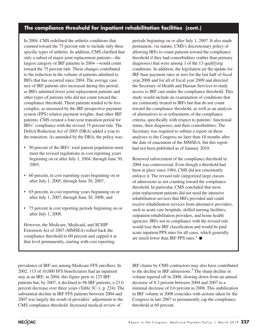## **The compliance threshold for inpatient rehabilitation facilities (cont.)**

In 2004, CMS redefined the arthritis conditions that counted toward the 75 percent rule to include only three specific types of arthritis. In addition, CMS clarified that only a subset of major joint replacement patients—the largest category of IRF patients in 2004—would count toward the 75 percent rule. These changes contributed to the reduction in the volume of patients admitted to IRFs that has occurred since 2004. The average case mix of IRF patients also increased during this period, as IRFs admitted fewer joint replacement patients and other types of patients who did not count toward the compliance threshold. These patients tended to be less complex, as measured by the IRF prospective payment system (PPS) relative payment weights, than other IRF patients. CMS created a four-year transition period for IRFs' compliance with the revised 75 percent rule. The Deficit Reduction Act of 2005 (DRA) added a year to the transition. As amended by the DRA, the policy was:

- 50 percent of the IRFs' total patient population must meet the revised regulations in cost reporting years beginning on or after July 1, 2004, through June 30, 2005;
- 60 percent, in cost reporting years beginning on or after July 1, 2005, through June 30, 2007;
- 65 percent, in cost reporting years beginning on or after July 1, 2007, through June 30, 2008; and
- 75 percent in cost reporting periods beginning on or after July 1, 2008.

However, the Medicare, Medicaid, and SCHIP Extension Act of 2007 (MMSEA) rolled back the compliance threshold to 60 percent and capped it at that level permanently, starting with cost reporting

prevalence of IRF use among Medicare FFS enrollees. In 2002, 115 of 10,000 FFS beneficiaries had an inpatient stay at an IRF; in 2004, this figure grew to 125 IRF patients but, by 2007, it declined to 96 IRF patients, a 23.0 percent decrease over three years (Table 3C-1, p. 224). The substantial decline in IRF FFS patients between 2004 and 2007 was largely the result of providers' adjustment to the CMS compliance threshold. Increased medical review of

periods beginning on or after July 1, 2007. It also made permanent, via statute, CMS's discretionary policy of allowing IRFs to count patients toward the compliance threshold if they had comorbidities (rather than primary diagnoses) that were among 1 of the 13 qualifying conditions. In addition, the legislation set the update for IRF base payment rates at zero for the last half of fiscal year 2008 and for all of fiscal year 2009 and directed the Secretary of Health and Human Services to study access to IRF care under the compliance threshold. This study would include an examination of conditions that are commonly treated in IRFs but that do not count toward the compliance threshold, as well as an analysis of alternatives to or refinements of the compliance criteria, specifically with respect to patients' functional status, their diagnoses, and their comorbidities. The Secretary was required to submit a report on these analyses to the Congress no later than 18 months after the date of enactment of the MMSEA, but this report had not been published as of January 2010.

Renewed enforcement of the compliance threshold in 2004 was controversial. Even though a threshold had been in place since 1984, CMS did not consistently enforce it. The revised rule categorized large classes of admissions as not counting toward the compliance threshold. In particular, CMS concluded that most joint replacement patients did not need the intensive rehabilitation services that IRFs provided and could receive rehabilitation services from alternative providers, such as acute care hospitals, skilled nursing facilities, outpatient rehabilitation providers, and home health agencies. IRFs not in compliance with the revised rule would lose their IRF classification and would be paid acute inpatient PPS rates for all cases, which generally are much lower than IRF PPS rates.<sup>4</sup>

IRF claims by CMS contractors may also have contributed to the decline in IRF admissions.<sup>5</sup> The sharp decline in volume tapered off in 2008, slowing down from an annual decrease of 8.3 percent between 2004 and 2007 to a minimal decrease of 0.6 percent in 2008. This stabilization in IRF volume in 2008 coincides with actions taken by the Congress in late 2007 to permanently cap the compliance threshold at 60 percent.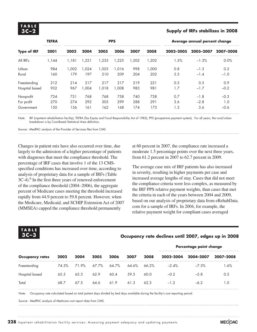# **T A B L E**

#### **3C –2 Supply of IRFs stabilizes in 2008**

|                    | <b>TEFRA</b> |       | <b>PPS</b> |       |       |      |        | Average annual percent change |           |           |  |
|--------------------|--------------|-------|------------|-------|-------|------|--------|-------------------------------|-----------|-----------|--|
| <b>Type of IRF</b> | 2001         | 2002  | 2004       | 2005  | 2006  | 2007 | 2008   | 2002-2005                     | 2005-2007 | 2007-2008 |  |
| All IRFs           | 1.144        | 1.181 | ,221       | ,235  | .225  | .202 | 202, ا | 1.5%                          | $-1.3%$   | 0.0%      |  |
| Urban              | 984          | 1.002 | 024, ا     | .025  | 1,016 | 998  | 1,000  | 0.8                           | $-1.3$    | 0.2       |  |
| Rural              | 160          | 179   | 197        | 210   | 209   | 204  | 202    | 5.5                           | $-1.4$    | $-1.0$    |  |
| Freestanding       | 212          | 214   | 217        | 217   | 217   | 219  | 221    | 0.5                           | 0.5       | 0.9       |  |
| Hospital based     | 932          | 967   | .004       | 1.018 | 1.008 | 983  | 981    | 1.7                           | $-1.7$    | $-0.2$    |  |
| Nonprofit          | 724          | 751   | 768        | 768   | 758   | 740  | 738    | 0.7                           | $-1.8$    | $-0.3$    |  |
| For profit         | 270          | 274   | 292        | 305   | 299   | 288  | 291    | 3.6                           | $-2.8$    | 1.0       |  |
| Government         | 150          | 156   | 161        | 162   | 168   | 174  | 173    | 1.3                           | 3.6       | $-0.6$    |  |

Note: IRF (inpatient rehabilitation facility), TEFRA (Tax Equity and Fiscal Responsibility Act of 1982), PPS (prospective payment system). For all years, the rural/urban breakdown is by Core-Based Statistical Area definition.

Source: MedPAC analysis of the Provider of Services files from CMS.

Changes in patient mix have also occurred over time, due largely to the admission of a higher percentage of patients with diagnoses that meet the compliance threshold. The percentage of IRF cases that involve 1 of the 13 CMSspecified conditions has increased over time, according to analysis of proprietary data for a sample of IRFs (Table 3C-4).<sup>6</sup> In the first three years of renewed enforcement of the compliance threshold (2004–2006), the aggregate percent of Medicare cases meeting the threshold increased rapidly from 44.9 percent to 59.8 percent. However, when the Medicare, Medicaid, and SCHIP Extension Act of 2007 (MMSEA) capped the compliance threshold permanently

at 60 percent in 2007, the compliance rate increased a moderate 1.5 percentage points over the next three years, from 61.2 percent in 2007 to 62.7 percent in 2009.

The average case mix of IRF patients has also increased in severity, resulting in higher payments per case and increased average lengths of stay. Cases that did not meet the compliance criteria were less complex, as measured by the IRF PPS relative payment weights, than cases that met the criteria in each of the years between 2004 and 2009, based on our analysis of proprietary data from eRehabData. com for a sample of IRFs. In 2004, for example, the relative payment weight for compliant cases averaged

**T A B L E 3C –3 Occupancy rate declines until 2007, edges up in 2008 Occupancy rates 2002 2004 2005 2006 2007 2008 Percentage point change 2002–2004 2004–2007 2007–2008**

Freestanding 74.3 % 71.9% 67.7% 64.7 % 64.6 % 66.2 % –2.4% –7.3% 1.6% Hospital based 65.5 65.3 62.9 60.4 59.5 60.0 –0.2 –5.8 0.5

Total 68.7 67.5 64.6 61.9 61.3 62.3 –1.2 –6.2 1.0

Note: Occupancy rate calculated based on total patient days divided by bed days available during the facility's cost reporting period.

Source: MedPAC analysis of Medicare cost report data from CMS.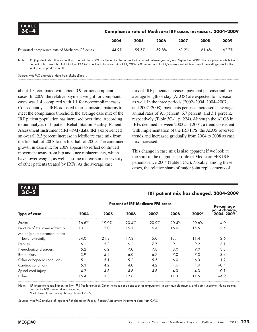| $\begin{array}{c}\n 1A BLE \\  3C-4\n \end{array}$ | <b>Compliance rate of Medicare IRF cases increases, 2004-2009</b> |       |       |       |          |          |
|----------------------------------------------------|-------------------------------------------------------------------|-------|-------|-------|----------|----------|
|                                                    | 2004                                                              | 2005  | 2006  | 2007  | 2008     | 2009     |
| Estimated compliance rate of Medicare IRF cases    | 44.9%                                                             | 55.5% | 59.8% | 61.2% | $61.4\%$ | $62.7\%$ |

Note: IRF (inpatient rehabilitation facility). The data for 2009 are limited to discharges that occurred between January and September 2009. The compliance rate is the percent of IRF cases that fall into 1 of 13 CMS specified diagnoses. As of July 2007, 60 percent of a facility's cases must fall into one of these diagnoses for the facility to be paid as an IRF.

Source: MedPAC analysis of data from eRehabData®.

about 1.3, compared with about 0.9 for noncompliant cases. In 2009, the relative payment weight for compliant cases was 1.4, compared with 1.1 for noncompliant cases. Consequently, as IRFs adjusted their admission patterns to meet the compliance threshold, the average case mix of the IRF patient population has increased over time. According to our analysis of Inpatient Rehabilitation Facility–Patient Assessment Instrument (IRF–PAI) data, IRFs experienced an overall 2.3 percent increase in Medicare case mix from the first half of 2008 to the first half of 2009. The continued growth in case mix for 2009 appears to reflect continued movement away from hip and knee replacements, which have lower weight, as well as some increase in the severity of other patients treated by IRFs. As the average case

mix of IRF patients increases, payment per case and the average length of stay (ALOS) are expected to increase as well. In the three periods (2002–2004, 2004–2007, and 2007–2008), payments per case increased at average annual rates of 9.1 percent, 6.7 percent, and 3.1 percent, respectively (Table 3C-1, p. 224). Although the ALOS in IRFs declined between 2002 and 2004, a trend consistent with implementation of the IRF PPS, the ALOS reversed trends and increased gradually from 2004 to 2008 as case mix increased.

This change in case mix is also apparent if we look at the shift in the diagnosis profile of Medicare FFS IRF patients since 2004 (Table 3C-5). Notably, among these cases, the relative share of major joint replacements of



#### **3C –5 IRF patient mix has changed, 2004–2009**

|                                 |       | Percentage |       |       |       |       |                            |
|---------------------------------|-------|------------|-------|-------|-------|-------|----------------------------|
| <b>Type of case</b>             | 2004  | 2005       | 2006  | 2007  | 2008  | 2009* | point change,<br>2004-2009 |
| Stroke                          | 16.6% | 19.0%      | 20.4% | 20.9% | 20.4% | 20.6% | 4.0                        |
| Fracture of the lower extremity | 13.1  | 15.0       | 16.1  | 16.4  | 16.0  | 15.5  | 2.4                        |
| Major joint replacement of the  |       |            |       |       |       |       |                            |
| lower extremity                 | 24.0  | 21.3       | 17.8  | 15.0  | 13.1  | 11.4  | $-12.6$                    |
| Debility                        | 6.1   | 5.8        | 6.2   | 7.7   | 9.1   | 9.2   | 3.1                        |
| Neurological disorders          | 5.2   | 6.2        | 7.0   | 7.8   | 8.0   | 9.0   | 3.8                        |
| Brain injury                    | 3.9   | 5.2        | 6.0   | 6.7   | 7.0   | 7.3   | 3.4                        |
| Other orthopedic conditions     | 5.1   | 5.1        | 5.2   | 5.5   | 6.0   | 6.3   | 1.2                        |
| Cardiac conditions              | 5.3   | 4.2        | 4.0   | 4.2   | 4.6   | 4.9   | $-0.4$                     |
| Spinal cord injury              | 4.2   | 4.5        | 4.6   | 4.6   | 4.3   | 4.3   | 0.1                        |
| Other                           | 16.4  | 13.8       | 12.8  | 11.3  | 11.3  | 11.5  | $-4.9$                     |

Note: IRF (inpatient rehabilitation facility), FFS (fee-for-service). Other includes conditions such as amputations, major multiple trauma, and pain syndrome. Numbers may not sum to 100 percent due to rounding.

\*Data taken from January through June of 2009.

Source: MedPAC analysis of Inpatient Rehabilitation Facility–Patient Assessment Instrument data from CMS.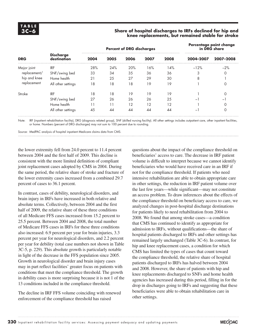#### **3C –6 Share of hospital discharges to IRFs declined for hip and knee replacements, but remained stable for stroke**

|              |                                 |      |      | <b>Percent of DRG discharges</b> | Percentage point change<br>in DRG share |      |                          |           |
|--------------|---------------------------------|------|------|----------------------------------|-----------------------------------------|------|--------------------------|-----------|
| <b>DRG</b>   | <b>Discharge</b><br>destination | 2004 | 2005 | 2006                             | 2007                                    | 2008 | 2004-2007                | 2007-2008 |
| Major joint  | <b>IRF</b>                      | 28%  | 24%  | 20%                              | 16%                                     | 14%  | $-12%$                   | $-2%$     |
| replacement/ | SNF/swing bed                   | 33   | 34   | 35                               | 36                                      | 36   | 3                        | 0         |
| hip and knee | Home health                     | 21   | 25   | 27                               | 29                                      | 30   | 8                        |           |
| replacement  | All other settings              | 18   | 18   | 18                               | 19                                      | 19   |                          | 0         |
| Stroke       | <b>IRF</b>                      | 18   | 18   | 19                               | 19                                      | 19   |                          | 0         |
|              | SNF/swing bed                   | 27   | 26   | 26                               | 26                                      | 25   | -                        | -1        |
|              | Home health                     | 11   |      | 12                               | 12                                      | 12   |                          | $\Omega$  |
|              | All other settings              | 45   | 44   | 44                               | 44                                      | 44   | $\overline{\phantom{0}}$ | 0         |

Note: IRF (inpatient rehabilitation facility), DRG (diagnosis related group), SNF (skilled nursing facility). All other settings includes outpatient care, other inpatient facilities, or home. Numbers (percent of DRG discharges) may not sum to 100 percent due to rounding.

Source: MedPAC analysis of hospital inpatient Medicare claims data from CMS.

the lower extremity fell from 24.0 percent to 11.4 percent between 2004 and the first half of 2009. This decline is consistent with the more limited definition of compliant joint replacement cases adopted by CMS in 2004. During the same period, the relative share of stroke and fracture of the lower extremity cases increased from a combined 29.7 percent of cases to 36.1 percent.

In contrast, cases of debility, neurological disorders, and brain injury in IRFs have increased in both relative and absolute terms. Collectively, between 2004 and the first half of 2009, the relative share of these three conditions of all Medicare FFS cases increased from 15.2 percent to 25.5 percent. Between 2004 and 2008, the total number of Medicare FFS cases in IRFs for these three conditions also increased: 6.9 percent per year for brain injuries, 3.3 percent per year for neurological disorders, and 2.2 percent per year for debility (total case numbers not shown in Table 3C-5, p. 229). This absolute growth is particularly notable in light of the decrease in the FFS population since 2005. Growth in neurological disorder and brain injury cases may in part reflect facilities' greater focus on patients with conditions that meet the compliance threshold. The growth in debility cases is more surprising because it is not 1 of the 13 conditions included in the compliance threshold.

The decline in IRF FFS volume coinciding with renewed enforcement of the compliance threshold has raised

questions about the impact of the compliance threshold on beneficiaries' access to care. The decrease in IRF patient volume is difficult to interpret because we cannot identify beneficiaries who would have received care in an IRF if not for the compliance threshold. If patients who need intensive rehabilitation are able to obtain appropriate care in other settings, the reduction in IRF patient volume over the last few years—while significant—may not constitute an access problem. To draw inferences about the effects of the compliance threshold on beneficiary access to care, we analyzed changes in post-hospital discharge destinations for patients likely to need rehabilitation from 2004 to 2008. We found that among stroke cases—a condition that CMS has continued to identify as appropriate for admission to IRFs, without qualifications—the share of hospital patients discharged to IRFs and other settings has remained largely unchanged (Table 3C-6). In contrast, for hip and knee replacement cases, a condition for which CMS has limited the types of cases that count toward the compliance threshold, the relative share of hospital patients discharged to IRFs has halved between 2004 and 2008. However, the share of patients with hip and knee replacements discharged to SNFs and home health agencies has increased during this period, filling in for the drop in discharges going to IRFs and suggesting that these beneficiaries were able to obtain rehabilitation care in other settings.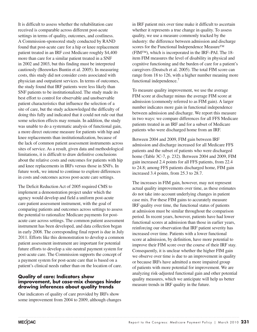It is difficult to assess whether the rehabilitation care received is comparable across different post-acute settings in terms of quality, outcomes, and costliness. A Commission-sponsored study conducted by RAND found that post-acute care for a hip or knee replacement patient treated in an IRF cost Medicare roughly \$4,400 more than care for a similar patient treated in a SNF in 2002 and 2003, but this finding must be interpreted cautiously (Beeuwkes Buntin et al. 2005). In measuring costs, this study did not consider costs associated with physician and outpatient services. In terms of outcomes, the study found that IRF patients were less likely than SNF patients to be institutionalized. The study made its best effort to control for observable and unobservable patient characteristics that influence the selection of a site of care, but the study acknowledged the difficulty of doing this fully and indicated that it could not rule out that some selection effects may remain. In addition, the study was unable to do a systematic analysis of functional gain, a more direct outcome measure for patients with hip and knee replacements than institutionalization, because of the lack of common patient assessment instruments across sites of service. As a result, given data and methodological limitations, it is difficult to draw definitive conclusions about the relative costs and outcomes for patients with hip and knee replacements in IRFs versus those in SNFs. In future work, we intend to continue to explore differences in costs and outcomes across post-acute care settings.

The Deficit Reduction Act of 2005 required CMS to implement a demonstration project under which the agency would develop and field a uniform post-acute care patient assessment instrument, with the goal of comparing patients and outcomes across settings to assess the potential to rationalize Medicare payments for postacute care across settings. The common patient assessment instrument has been developed, and data collection began in early 2008. The corresponding final report is due in July 2011. Efforts like this demonstration to develop a common patient assessment instrument are important for potential future efforts to develop a site-neutral payment system for post-acute care. The Commission supports the concept of a payment system for post-acute care that is based on a patient's clinical needs rather than on the location of care.

#### **Quality of care: Indicators show improvement, but case-mix changes hinder drawing inferences about quality trends**

Our indicators of quality of care provided by IRFs show some improvement from 2004 to 2009, although changes

in IRF patient mix over time make it difficult to ascertain whether it represents a true change in quality. To assess quality, we use a measure commonly tracked by the industry: the difference between admission and discharge scores for the Functional Independence Measure™ (FIM™), which is incorporated in the IRF–PAI. The 18 item FIM measures the level of disability in physical and cognitive functioning and the burden of care for a patient's caregivers (Deutsch et al. 2005). The total FIM score can range from 18 to 126, with a higher number meaning more functional independence.<sup>7</sup>

To measure quality improvement, we use the average FIM score at discharge minus the average FIM score at admission (commonly referred to as FIM gain). A larger number indicates more gain in functional independence between admission and discharge. We report this measure in two ways: we compare differences for all FFS Medicare patients treated in an IRF and for a subset of Medicare patients who were discharged home from an IRF.

Between 2004 and 2009, FIM gain between IRF admission and discharge increased for all Medicare FFS patients and the subset of patients who were discharged home (Table 3C-7, p. 232). Between 2004 and 2009, FIM gain increased 2.4 points for all FFS patients, from 22.4 to 24.8; among FFS patients discharged home, FIM gain increased 3.4 points, from 25.3 to 28.7.

The increases in FIM gain, however, may not represent actual quality improvements over time, as these estimates do not take into account underlying changes in patient case mix. For these FIM gains to accurately measure IRF quality over time, the functional status of patients at admission must be similar throughout the comparison period. In recent years, however, patients have had lower functional scores at admission than those in earlier years, reinforcing our observation that IRF patient severity has increased over time. Patients with a lower functional score at admission, by definition, have more potential to improve their FIM score over the course of their IRF stay. Consequently, it is unclear whether the higher FIM gain we observe over time is due to an improvement in quality or because IRFs have admitted a more impaired group of patients with more potential for improvement. We are analyzing risk-adjusted functional gain and other potential quality measures, which we anticipate will help us better measure trends in IRF quality in the future.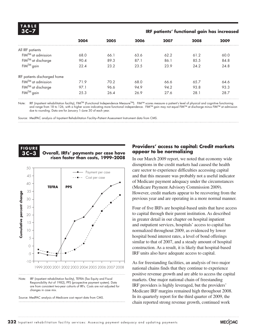| TABLE |  |  |
|-------|--|--|
|       |  |  |

#### **3C –7 IRF patients' functional gain has increased**

| 2004<br>68.0 | 2005<br>66.1 | 2006<br>63.6 | 2007 | 2008 | 2009 |
|--------------|--------------|--------------|------|------|------|
|              |              |              |      |      |      |
|              |              |              |      |      |      |
|              |              |              | 62.2 | 61.2 | 60.0 |
| 90.4         | 89.3         | 87.1         | 86.1 | 85.5 | 84.8 |
| 22.4         | 23.2         | 23.5         | 23.9 | 24.2 | 24.8 |
|              |              |              |      |      |      |
| 71.9         | 70.2         | 68.0         | 66.6 | 65.7 | 64.6 |
| 97.1         | 96.6         | 94.9         | 94.2 | 93.8 | 93.3 |
| 25.3         | 26.4         | 26.9         | 27.6 | 28.1 | 28.7 |
|              |              |              |      |      |      |

Note: IRF (inpatient rehabilitation facility), FIM™ (Functional Independence Measure™). FIM™ scores measure a patient's level of physical and cognitive functioning and range from 18 to 126, with a higher score indicating more functional independence. FIM™ gain may not equal FIM™ at discharge minus FIM™ at admission due to rounding. Data are for January 1–June 30 of each year.

Source: MedPAC analysis of Inpatient Rehabilitation Facility–Patient Assessment Instrument data from CMS.



#### **3C-3** Overall, IRFs' payments per case have **risen faster than costs, 1999–2008 IRFs' payments per case have**



Note: IRF (inpatient rehabilitation facility), TEFRA (Tax Equity and Fiscal Responsibility Act of 1982), PPS (prospective payment system). Data are from consistent two-year cohorts of IRFs. Costs are not adjusted for changes in case mix.

Source: MedPAC analysis of Medicare cost report data from CMS.

#### **Providers' access to capital: Credit markets appear to be normalizing**

In our March 2009 report, we noted that economy wide disruptions in the credit markets had caused the health care sector to experience difficulties accessing capital and that this measure was probably not a useful indicator of Medicare payment adequacy under the circumstances (Medicare Payment Advisory Commission 2009). However, credit markets appear to be recovering from the previous year and are operating in a more normal manner.

Four of five IRFs are hospital-based units that have access to capital through their parent institution. As described in greater detail in our chapter on hospital inpatient and outpatient services, hospitals' access to capital has normalized throughout 2009, as evidenced by lower hospital bond interest rates, a level of bond offerings  $\frac{1}{\text{S}}$  similar to that of 2007, and a steady amount of hospital construction. As a result, it is likely that hospital-based IRF units also have adequate access to capital.  $\mathfrak{a}$ 

As for freestanding facilities, an analysis of two major national chains finds that they continue to experience positive revenue growth and are able to access the capital markets. One major national chain of freestanding IRF providers is highly leveraged, but the providers' Medicare IRF margins remained high throughout 2008. In its quarterly report for the third quarter of 2009, the chain reported strong revenue growth, continued work  $WIII$ , continued work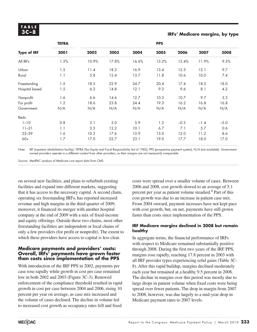# **T A B L E**

# **3C –8 IRFs' Medicare margins, by type**

|                    | <b>TEFRA</b> |       |       |       | <b>PPS</b> |        |        |        |
|--------------------|--------------|-------|-------|-------|------------|--------|--------|--------|
| <b>Type of IRF</b> | 2001         | 2002  | 2003  | 2004  | 2005       | 2006   | 2007   | 2008   |
| All IRFs           | 1.5%         | 10.9% | 17.8% | 16.6% | 13.2%      | 12.4%  | 11.9%  | 9.5%   |
| Urban              | 1.5          | 11.4  | 18.3  | 16.9  | 13.4       | 12.5   | 12.1   | 9.7    |
| Rural              | 1.1          | 5.8   | 12.4  | 13.7  | 11.8       | 10.6   | 10.0   | 7.4    |
| Freestanding       | 1.5          | 18.5  | 22.9  | 24.7  | 20.4       | 17.4   | 18.5   | 18.0   |
| Hospital based     | 1.5          | 6.2   | 14.8  | 12.1  | 9.3        | 9.6    | 8.1    | 4.2    |
| Nonprofit          | 1.6          | 6.6   | 14.6  | 12.7  | 10.3       | 10.7   | 9.7    | 5.3    |
| For profit         | 1.2          | 18.6  | 23.8  | 24.4  | 19.3       | 16.2   | 16.8   | 16.8   |
| Government         | N/A          | N/A   | N/A   | N/A   | N/A        | N/A    | N/A    | N/A    |
| Beds               |              |       |       |       |            |        |        |        |
| $1 - 10$           | 0.8          | 2.1   | 5.0   | 5.9   | 1.2        | $-0.3$ | $-1.4$ | $-5.0$ |
| $11 - 21$          | 1.1          | 3.5   | 12.2  | 10.1  | 6.7        | 7.1    | 5.7    | 0.6    |
| $22 - 59$          | 1.6          | 10.2  | 17.6  | 15.9  | 13.0       | 12.0   | 11.2   | 8.6    |
| $60+$              | 1.7          | 17.0  | 22.7  | 23.1  | 19.0       | 17.7   | 18.0   | 17.0   |

Note: IRF (inpatient rehabilitation facility), TEFRA (Tax Equity and Fiscal Responsibility Act of 1982), PPS (prospective payment system), N/A (not available). Governmentowned providers operate in a different context from other providers, so their margins are not necessarily comparable.

Source: MedPAC analysis of Medicare cost report data from CMS.

on several new facilities, and plans to refurbish existing facilities and expand into different markets, suggesting that it has access to the necessary capital. A second chain, operating six freestanding IRFs, has reported increased revenue and high margins in the third quarter of 2009; moreover, it financed its merger with another hospital company at the end of 2009 with a mix of fixed-income and equity offerings. Outside these two chains, most other freestanding facilities are independent or local chains of only a few providers (for profit or nonprofit). The extent to which these providers have access to capital is less clear.

#### **Medicare payments and providers' costs: Overall, IRFs' payments have grown faster than costs since implementation of the PPS**

With introduction of the IRF PPS in 2002, payments per case rose rapidly while growth in cost per case remained low in both 2002 and 2003 (Figure 3C-3). Renewed enforcement of the compliance threshold resulted in rapid growth in cost per case between 2004 and 2006, rising 10 percent per year on average, as case mix increased and the volume of cases declined. The decline in volume led to increased cost growth as occupancy rates fell and fixed

costs were spread over a smaller volume of cases. Between 2006 and 2008, cost growth slowed to an average of 5.1 percent per year as patient volume steadied.<sup>8</sup> Part of this cost growth was due to an increase in patient case mix. From 2004 onward, payment increases have not kept pace with cost growth, but, on net, payments have still grown faster than costs since implementation of the PPS.

#### **IRF Medicare margins declined in 2008 but remain healthy**

In aggregate terms, the financial performance of IRFs with respect to Medicare remained substantially positive through 2008. During the first two years of the IRF PPS, margins rose rapidly, reaching 17.8 percent in 2003 with all IRF provider types experiencing solid gains (Table 3C-8). After this rapid buildup, margins declined moderately each year but remained at a healthy 9.5 percent in 2008. The decline in margins over this period was mostly due to large drops in patient volume when fixed costs were being spread over fewer patients. The drop in margin from 2007 to 2008, however, was due largely to a mid-year drop in Medicare payment rates to 2007 levels.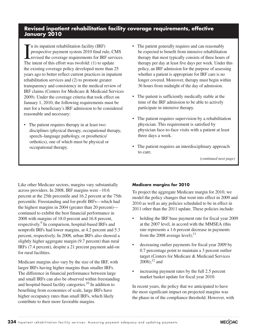## **Revised inpatient rehabilitation facility coverage requirements, effective January 2010**

In its inpatient rehabilitation facility (IRF)<br>prospective payment system 2010 final rule, Cl<br>revised the coverage requirements for IRF serv<br>The intent of this effort was twofold: (1) to update n its inpatient rehabilitation facility (IRF) prospective payment system 2010 final rule, CMS revised the coverage requirements for IRF services. the existing coverage policy developed more than 25 years ago to better reflect current practices in inpatient rehabilitation services and (2) to promote greater transparency and consistency in the medical review of IRF claims (Centers for Medicare & Medicaid Services 2009). Under the coverage criteria that took effect on January 1, 2010, the following requirements must be met for a beneficiary's IRF admission to be considered reasonable and necessary:

• The patient requires therapy in at least two disciplines (physical therapy, occupational therapy, speech–language pathology, or prosthetics/ orthotics), one of which must be physical or occupational therapy.

- The patient generally requires and can reasonably be expected to benefit from intensive rehabilitation therapy that most typically consists of three hours of therapy per day at least five days per week. Under this policy, an IRF admission for the purpose of assessing whether a patient is appropriate for IRF care is no longer covered. Moreover, therapy must begin within 36 hours from midnight of the day of admission.
- The patient is sufficiently medically stable at the time of the IRF admission to be able to actively participate in intensive therapy.
- The patient requires supervision by a rehabilitation physician. This requirement is satisfied by physician face-to-face visits with a patient at least three days a week.
- The patient requires an interdisciplinary approach to care.

*(continued next page)*

Like other Medicare sectors, margins vary substantially across providers. In 2008, IRF margins were –10.6 percent at the 25th percentile and 16.2 percent at the 75th percentile. Freestanding and for-profit IRFs—which had the highest margins in 2004 (greater than 20 percent) continued to exhibit the best financial performance in 2008 with margins of 18.0 percent and 16.8 percent, respectively.<sup>9</sup> In comparison, hospital-based IRFs and nonprofit IRFs had lower margins, at 4.2 percent and 5.3 percent, respectively. In 2008, urban IRFs also showed a slightly higher aggregate margin (9.7 percent) than rural IRFs (7.4 percent), despite a 21 percent payment add-on for rural facilities.

Medicare margins also vary by the size of the IRF, with larger IRFs having higher margins than smaller IRFs. The difference in financial performance between large and small IRFs can also be observed within freestanding and hospital-based facility categories.10 In addition to benefiting from economies of scale, large IRFs have higher occupancy rates than small IRFs, which likely contribute to their more favorable margins.

#### **Medicare margins for 2010**

To project the aggregate Medicare margin for 2010, we model the policy changes that went into effect in 2009 and 2010 as well as any policies scheduled to be in effect in 2011 other than the 2011 update. These policies include:

- holding the IRF base payment rate for fiscal year 2009 at the 2007 level, in accord with the MMSEA (this rate represents a 1.6 percent decrease in payments from the 2008 average level);  $^{11}$
- decreasing outlier payments for fiscal year 2009 by 0.7 percentage point to maintain a 3 percent outlier target (Centers for Medicare & Medicaid Services  $2008$ ;<sup>12</sup> and
- increasing payment rates by the full 2.5 percent market basket update for fiscal year 2010.

In recent years, the policy that we anticipated to have the most significant impact on projected margins was the phase-in of the compliance threshold. However, with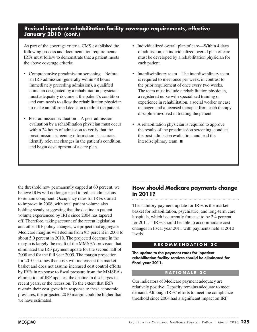## **Revised inpatient rehabilitation facility coverage requirements, effective January 2010 (cont.)**

As part of the coverage criteria, CMS established the following process and documentation requirements IRFs must follow to demonstrate that a patient meets the above coverage criteria:

- Comprehensive preadmission screening—Before an IRF admission (generally within 48 hours immediately preceding admission), a qualified clinician designated by a rehabilitation physician must adequately document the patient's condition and care needs to allow the rehabilitation physician to make an informed decision to admit the patient.
- Post-admission evaluation—A post-admission evaluation by a rehabilitation physician must occur within 24 hours of admission to verify that the preadmission screening information is accurate, identify relevant changes in the patient's condition, and begin development of a care plan.
- Individualized overall plan of care—Within 4 days of admission, an individualized overall plan of care must be developed by a rehabilitation physician for each patient.
- Interdisciplinary team—The interdisciplinary team is required to meet once per week, in contrast to the prior requirement of once every two weeks. The team must include a rehabilitation physician, a registered nurse with specialized training or experience in rehabilitation, a social worker or case manager, and a licensed therapist from each therapy discipline involved in treating the patient.
- A rehabilitation physician is required to approve the results of the preadmission screening, conduct the post-admission evaluation, and lead the interdisciplinary team. ■

the threshold now permanently capped at 60 percent, we believe IRFs will no longer need to reduce admissions to remain compliant. Occupancy rates for IRFs started to improve in 2008, with total patient volume also holding steady, suggesting that the decline in patient volume experienced by IRFs since 2004 has tapered off. Therefore, taking account of the recent legislation and other IRF policy changes, we project that aggregate Medicare margins will decline from 9.5 percent in 2008 to about 5.0 percent in 2010. The projected decrease in the margin is largely the result of the MMSEA provision that eliminated the IRF payment update for the second half of 2008 and for the full year 2009. The margin projection for 2010 assumes that costs will increase at the market basket and does not assume increased cost control efforts by IRFs in response to fiscal pressure from the MMSEA's elimination of IRF updates, the decline in discharges in recent years, or the recession. To the extent that IRFs restrain their cost growth in response to these economic pressures, the projected 2010 margin could be higher than we have estimated.

## **How should Medicare payments change in 2011?**

The statutory payment update for IRFs is the market basket for rehabilitation, psychiatric, and long-term care hospitals, which is currently forecast to be 2.4 percent for 2011.13 IRFs should be able to accommodate cost changes in fiscal year 2011 with payments held at 2010 levels.

#### **R E C O M M E N D A T I O N 3 C**

**The update to the payment rates for inpatient rehabilitation facility services should be eliminated for fiscal year 2011.**

#### **R A T I O N A L E 3 C**

Our indicators of Medicare payment adequacy are relatively positive. Capacity remains adequate to meet demand. Although IRFs' efforts to meet the compliance threshold since 2004 had a significant impact on IRF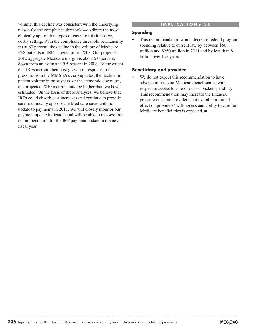volume, this decline was consistent with the underlying reason for the compliance threshold—to direct the most clinically appropriate types of cases to this intensive, costly setting. With the compliance threshold permanently set at 60 percent, the decline in the volume of Medicare FFS patients in IRFs tapered off in 2008. Our projected 2010 aggregate Medicare margin is about 5.0 percent, down from an estimated 9.5 percent in 2008. To the extent that IRFs restrain their cost growth in response to fiscal pressure from the MMSEA's zero updates, the decline in patient volume in prior years, or the economic downturn, the projected 2010 margin could be higher than we have estimated. On the basis of these analyses, we believe that IRFs could absorb cost increases and continue to provide care to clinically appropriate Medicare cases with no update to payments in 2011. We will closely monitor our payment update indicators and will be able to reassess our recommendation for the IRF payment update in the next fiscal year.

#### **I M P L I C A T I O N S 3 C**

#### **Spending**

This recommendation would decrease federal program spending relative to current law by between \$50 million and \$250 million in 2011 and by less than \$1 billion over five years.

#### **Beneficiary and provider**

We do not expect this recommendation to have adverse impacts on Medicare beneficiaries with respect to access to care or out-of-pocket spending. This recommendation may increase the financial pressure on some providers, but overall a minimal effect on providers' willingness and ability to care for Medicare beneficiaries is expected. ■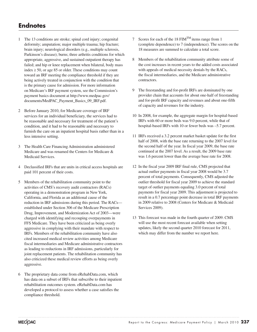## **Endnotes**

- 1 The 13 conditions are stroke; spinal cord injury; congenital deformity; amputation; major multiple trauma; hip fracture; brain injury; neurological disorders (e.g., multiple sclerosis, Parkinson's disease); burns; three arthritis conditions for which appropriate, aggressive, and sustained outpatient therapy has failed; and hip or knee replacement when bilateral, body mass index  $\geq$  50, or age 85 or older. These conditions may count toward an IRF meeting the compliance threshold if they are being actively treated in conjunction with the condition that is the primary cause for admission. For more information on Medicare's IRF payment system, see the Commission's payment basics document at http://www.medpac.gov/ documents/MedPAC\_Payment\_Basics\_09\_IRF.pdf.
- 2 Before January 2010, for Medicare coverage of IRF services for an individual beneficiary, the services had to be reasonable and necessary for treatment of the patient's condition, and it had to be reasonable and necessary to furnish the care on an inpatient hospital basis rather than in a less intensive setting.
- 3 The Health Care Financing Administration administered Medicare and was renamed the Centers for Medicare & Medicaid Services.
- 4 Declassified IRFs that are units in critical access hospitals are paid 101 percent of their costs.
- 5 Members of the rehabilitation community point to the activities of CMS's recovery audit contractors (RACs) operating in a demonstration program in New York, California, and Florida as an additional cause of the reduction in IRF admissions during this period. The RACs established under Section 306 of the Medicare Prescription Drug, Improvement, and Modernization Act of 2003—were charged with identifying and recouping overpayments in FFS Medicare. They have been criticized as being overly aggressive in complying with their mandate with respect to IRFs. Members of the rehabilitation community have also cited increased medical review activities among Medicare fiscal intermediaries and Medicare administrative contractors as leading to reductions in IRF admissions, particularly for joint replacement patients. The rehabilitation community has also criticized these medical review efforts as being overly aggressive.
- 6 The proprietary data come from eRehabData.com, which has data on a subset of IRFs that subscribe to their inpatient rehabilitation outcomes system. eRehabData.com has developed a protocol to assess whether a case satisfies the compliance threshold.
- 7 Scores for each of the 18  $FIM<sup>TM</sup>$  items range from 1 (complete dependence) to 7 (independence). The scores on the 18 measures are summed to calculate a total score.
- 8 Members of the rehabilitation community attribute some of the cost increases in recent years to the added costs associated with appeals of medical necessity denials by the RACs, the fiscal intermediaries, and the Medicare administrative contractors.
- 9 The freestanding and for-profit IRFs are dominated by one provider chain that accounts for about one-half of freestanding and for-profit IRF capacity and revenues and about one-fifth of capacity and revenues for the industry.
- 10 In 2008, for example, the aggregate margin for hospital-based IRFs with 60 or more beds was 9.0 percent, while that of hospital-based IRFs with 10 or fewer beds was –5.7 percent.
- 11 IRFs received a 3.2 percent market basket update for the first half of 2008, with the base rate returning to the 2007 level for the second half of the year. In fiscal year 2009, the base rate continued at the 2007 level. As a result, the 2009 base rate was 1.6 percent lower than the average base rate for 2008.
- 12 In the fiscal year 2009 IRF final rule, CMS projected that actual outlier payments in fiscal year 2008 would be 3.7 percent of total payments. Consequently, CMS adjusted the outlier threshold for fiscal year 2009 to achieve the standard target of outlier payments equaling 3.0 percent of total payments for fiscal year 2009. This adjustment is projected to result in a 0.7 percentage point decrease in total IRF payments in 2009 relative to 2008 (Centers for Medicare & Medicaid Services 2009).
- 13 This forecast was made in the fourth quarter of 2009. CMS will use the most recent forecast available when setting updates, likely the second quarter 2010 forecast for 2011, which may differ from the number we report here.